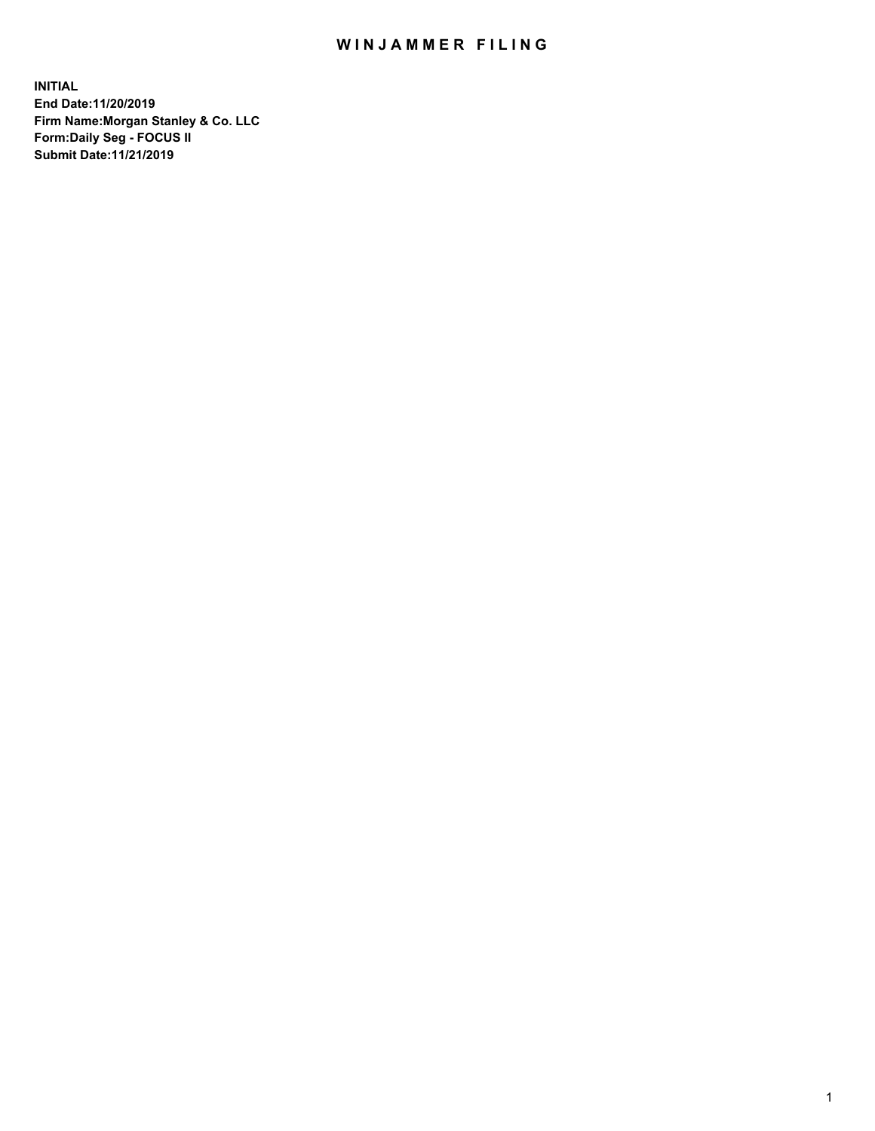## WIN JAMMER FILING

**INITIAL End Date:11/20/2019 Firm Name:Morgan Stanley & Co. LLC Form:Daily Seg - FOCUS II Submit Date:11/21/2019**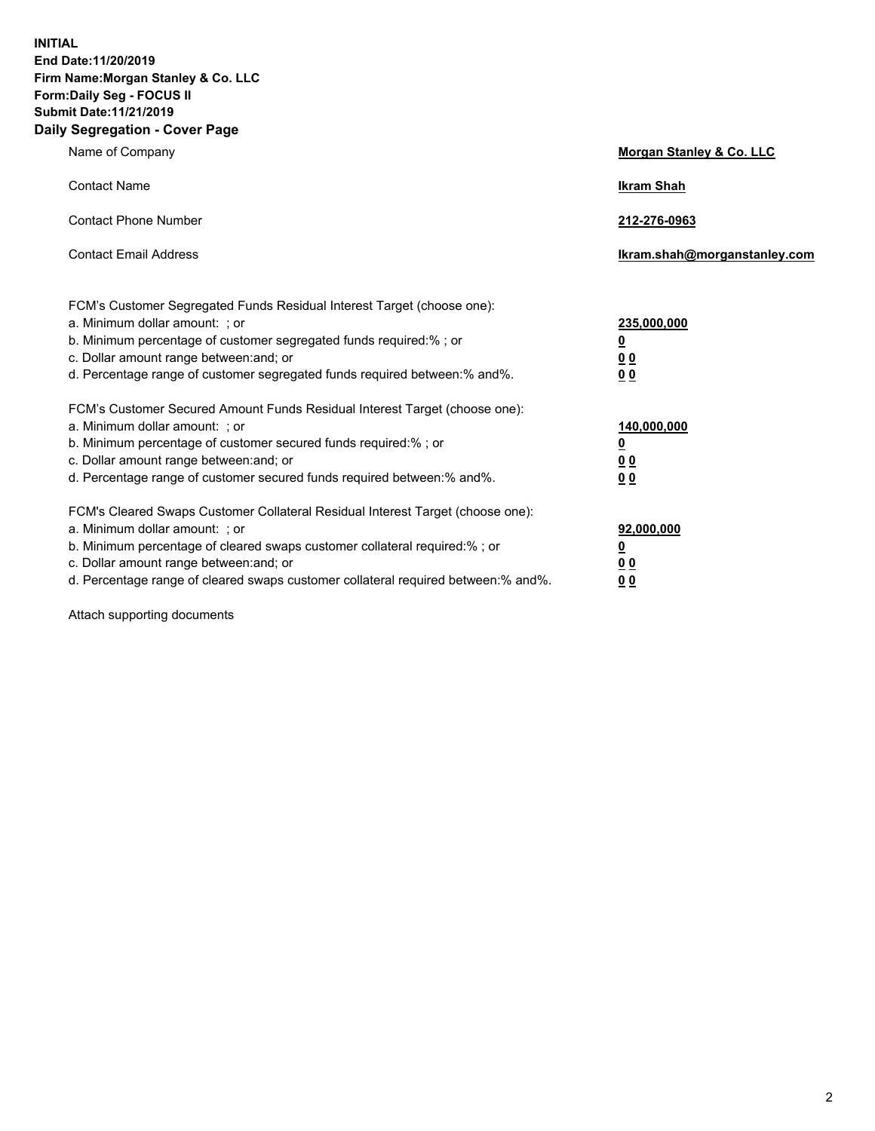**INITIAL End Date:11/20/2019 Firm Name:Morgan Stanley & Co. LLC Form:Daily Seg - FOCUS II Submit Date:11/21/2019 Daily Segregation - Cover Page**

| Name of Company                                                                                                                                                                                                                                                                                                                | Morgan Stanley & Co. LLC                                    |
|--------------------------------------------------------------------------------------------------------------------------------------------------------------------------------------------------------------------------------------------------------------------------------------------------------------------------------|-------------------------------------------------------------|
| <b>Contact Name</b>                                                                                                                                                                                                                                                                                                            | <b>Ikram Shah</b>                                           |
| <b>Contact Phone Number</b>                                                                                                                                                                                                                                                                                                    | 212-276-0963                                                |
| <b>Contact Email Address</b>                                                                                                                                                                                                                                                                                                   | lkram.shah@morganstanley.com                                |
| FCM's Customer Segregated Funds Residual Interest Target (choose one):<br>a. Minimum dollar amount: ; or<br>b. Minimum percentage of customer segregated funds required:% ; or<br>c. Dollar amount range between: and; or<br>d. Percentage range of customer segregated funds required between: % and %.                       | 235,000,000<br><u>0</u><br>0 <sub>0</sub><br>0 <sub>0</sub> |
| FCM's Customer Secured Amount Funds Residual Interest Target (choose one):<br>a. Minimum dollar amount: ; or<br>b. Minimum percentage of customer secured funds required:% ; or<br>c. Dollar amount range between: and; or<br>d. Percentage range of customer secured funds required between:% and%.                           | 140,000,000<br><u>0</u><br>0 <sub>0</sub><br>0 <sub>0</sub> |
| FCM's Cleared Swaps Customer Collateral Residual Interest Target (choose one):<br>a. Minimum dollar amount: ; or<br>b. Minimum percentage of cleared swaps customer collateral required:% ; or<br>c. Dollar amount range between: and; or<br>d. Percentage range of cleared swaps customer collateral required between:% and%. | 92,000,000<br><u>0</u><br><u>00</u><br>0 <sub>0</sub>       |

Attach supporting documents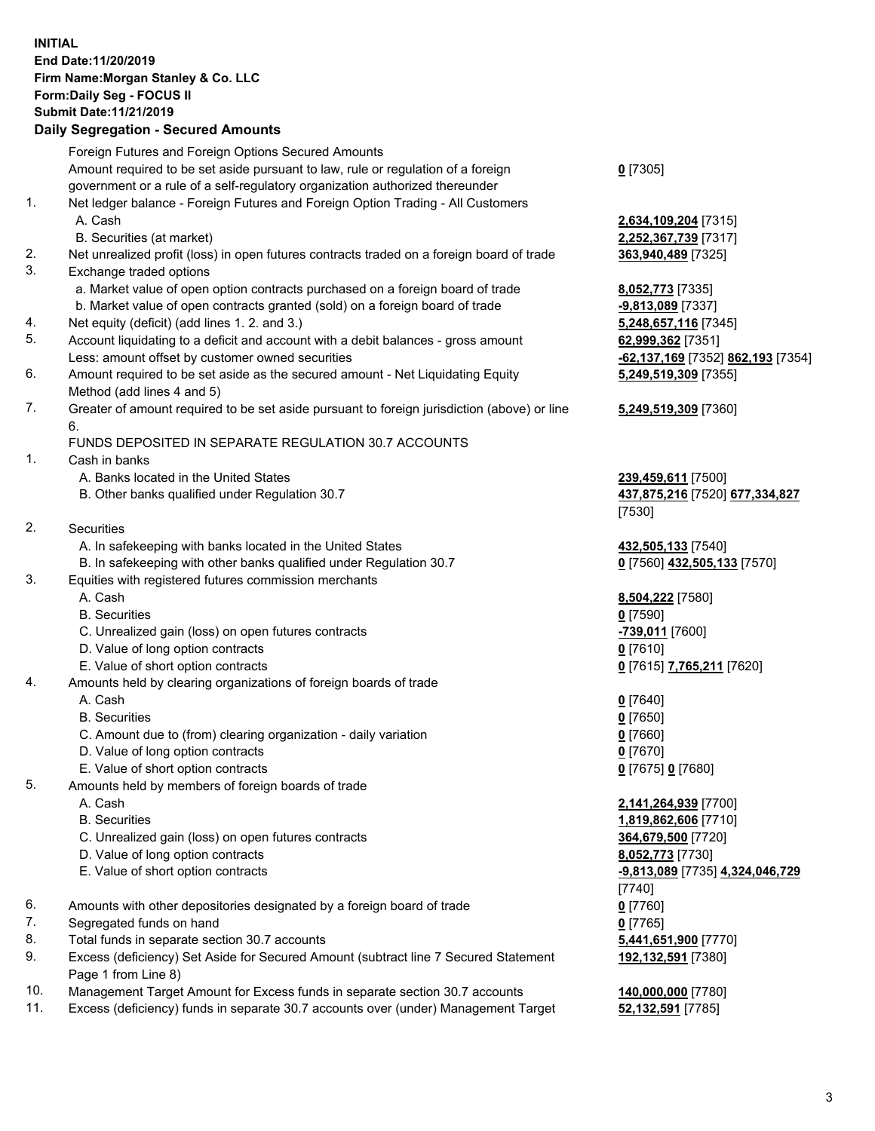## **INITIAL End Date:11/20/2019 Firm Name:Morgan Stanley & Co. LLC Form:Daily Seg - FOCUS II Submit Date:11/21/2019**

## **Daily Segregation - Secured Amounts**

|    | Foreign Futures and Foreign Options Secured Amounts                                         |                                   |
|----|---------------------------------------------------------------------------------------------|-----------------------------------|
|    | Amount required to be set aside pursuant to law, rule or regulation of a foreign            | $0$ [7305]                        |
|    | government or a rule of a self-regulatory organization authorized thereunder                |                                   |
| 1. | Net ledger balance - Foreign Futures and Foreign Option Trading - All Customers             |                                   |
|    | A. Cash                                                                                     | 2,634,109,204 [7315]              |
|    | B. Securities (at market)                                                                   | 2,252,367,739 [7317]              |
| 2. | Net unrealized profit (loss) in open futures contracts traded on a foreign board of trade   | 363,940,489 [7325]                |
| 3. | Exchange traded options                                                                     |                                   |
|    | a. Market value of open option contracts purchased on a foreign board of trade              | 8,052,773 [7335]                  |
|    | b. Market value of open contracts granted (sold) on a foreign board of trade                | -9,813,089 [7337]                 |
| 4. | Net equity (deficit) (add lines 1. 2. and 3.)                                               | 5,248,657,116 [7345]              |
| 5. | Account liquidating to a deficit and account with a debit balances - gross amount           | 62,999,362 [7351]                 |
|    | Less: amount offset by customer owned securities                                            | -62,137,169 [7352] 862,193 [7354] |
| 6. | Amount required to be set aside as the secured amount - Net Liquidating Equity              | 5,249,519,309 [7355]              |
|    | Method (add lines 4 and 5)                                                                  |                                   |
| 7. | Greater of amount required to be set aside pursuant to foreign jurisdiction (above) or line | 5,249,519,309 [7360]              |
|    | 6.<br>FUNDS DEPOSITED IN SEPARATE REGULATION 30.7 ACCOUNTS                                  |                                   |
| 1. | Cash in banks                                                                               |                                   |
|    | A. Banks located in the United States                                                       | 239,459,611 [7500]                |
|    | B. Other banks qualified under Regulation 30.7                                              | 437,875,216 [7520] 677,334,827    |
|    |                                                                                             | [7530]                            |
| 2. | Securities                                                                                  |                                   |
|    | A. In safekeeping with banks located in the United States                                   | 432,505,133 [7540]                |
|    | B. In safekeeping with other banks qualified under Regulation 30.7                          | 0 [7560] 432,505,133 [7570]       |
| 3. | Equities with registered futures commission merchants                                       |                                   |
|    | A. Cash                                                                                     | 8,504,222 [7580]                  |
|    | <b>B.</b> Securities                                                                        | $0$ [7590]                        |
|    | C. Unrealized gain (loss) on open futures contracts                                         | -739,011 [7600]                   |
|    | D. Value of long option contracts                                                           | $0$ [7610]                        |
|    | E. Value of short option contracts                                                          | 0 [7615] 7,765,211 [7620]         |
| 4. | Amounts held by clearing organizations of foreign boards of trade                           |                                   |
|    | A. Cash                                                                                     | $0$ [7640]                        |
|    | <b>B.</b> Securities                                                                        | $0$ [7650]                        |
|    | C. Amount due to (from) clearing organization - daily variation                             | $0$ [7660]                        |
|    | D. Value of long option contracts                                                           | $0$ [7670]                        |
|    | E. Value of short option contracts                                                          | 0 [7675] 0 [7680]                 |
| 5. | Amounts held by members of foreign boards of trade                                          |                                   |
|    | A. Cash                                                                                     | 2,141,264,939 [7700]              |
|    | <b>B.</b> Securities                                                                        | 1,819,862,606 [7710]              |
|    | C. Unrealized gain (loss) on open futures contracts                                         | 364,679,500 [7720]                |
|    | D. Value of long option contracts                                                           | 8,052,773 [7730]                  |
|    | E. Value of short option contracts                                                          | -9,813,089 [7735] 4,324,046,729   |
|    |                                                                                             | [7740]                            |
| 6. | Amounts with other depositories designated by a foreign board of trade                      | $0$ [7760]                        |
| 7. | Segregated funds on hand                                                                    | $0$ [7765]                        |
| 8. | Total funds in separate section 30.7 accounts                                               | 5,441,651,900 [7770]              |
| 9. | Excess (deficiency) Set Aside for Secured Amount (subtract line 7 Secured Statement         | 192,132,591 [7380]                |
|    | Page 1 from Line 8)                                                                         |                                   |
|    |                                                                                             |                                   |

- 10. Management Target Amount for Excess funds in separate section 30.7 accounts **140,000,000** [7780]
- 11. Excess (deficiency) funds in separate 30.7 accounts over (under) Management Target **52,132,591** [7785]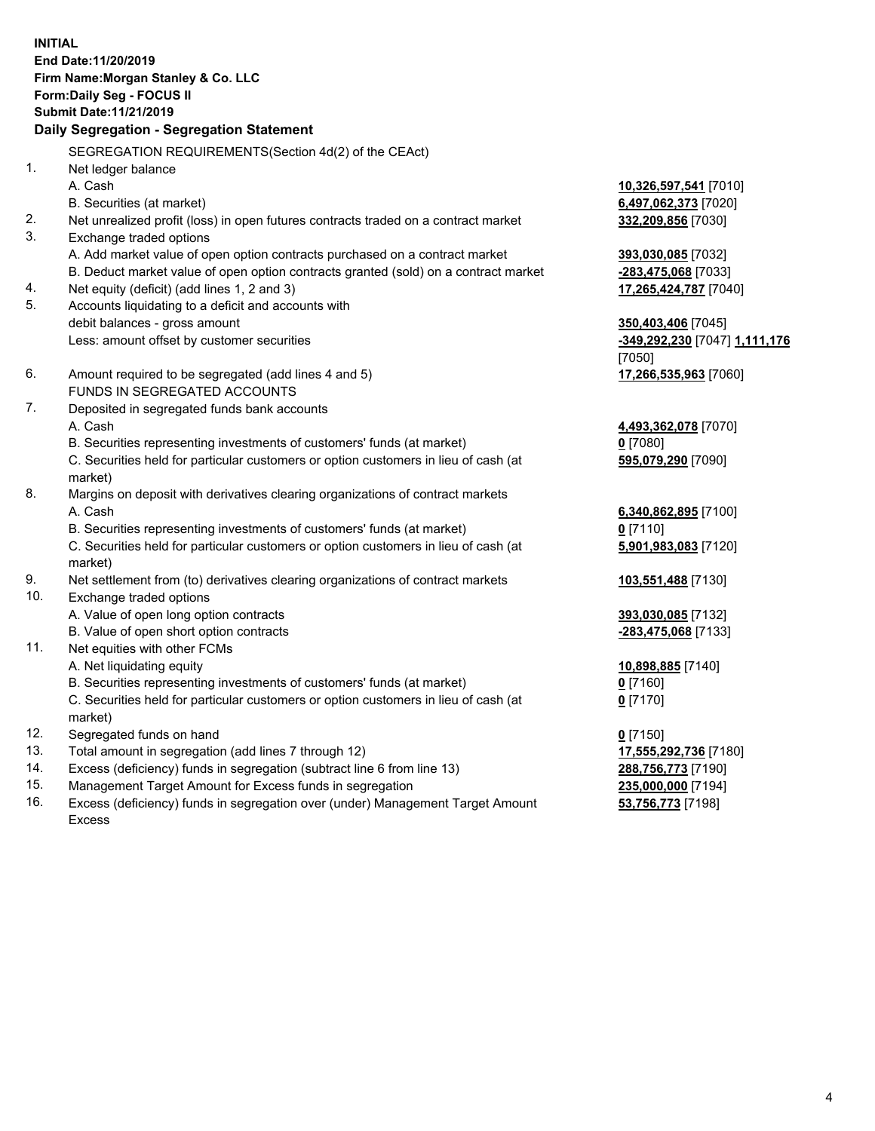**INITIAL End Date:11/20/2019 Firm Name:Morgan Stanley & Co. LLC Form:Daily Seg - FOCUS II Submit Date:11/21/2019 Daily Segregation - Segregation Statement** SEGREGATION REQUIREMENTS(Section 4d(2) of the CEAct) 1. Net ledger balance A. Cash **10,326,597,541** [7010] B. Securities (at market) **6,497,062,373** [7020] 2. Net unrealized profit (loss) in open futures contracts traded on a contract market **332,209,856** [7030] 3. Exchange traded options A. Add market value of open option contracts purchased on a contract market **393,030,085** [7032] B. Deduct market value of open option contracts granted (sold) on a contract market **-283,475,068** [7033] 4. Net equity (deficit) (add lines 1, 2 and 3) **17,265,424,787** [7040] 5. Accounts liquidating to a deficit and accounts with debit balances - gross amount **350,403,406** [7045] Less: amount offset by customer securities **-349,292,230** [7047] **1,111,176** [7050] 6. Amount required to be segregated (add lines 4 and 5) **17,266,535,963** [7060] FUNDS IN SEGREGATED ACCOUNTS 7. Deposited in segregated funds bank accounts A. Cash **4,493,362,078** [7070] B. Securities representing investments of customers' funds (at market) **0** [7080] C. Securities held for particular customers or option customers in lieu of cash (at market) **595,079,290** [7090] 8. Margins on deposit with derivatives clearing organizations of contract markets A. Cash **6,340,862,895** [7100] B. Securities representing investments of customers' funds (at market) **0** [7110] C. Securities held for particular customers or option customers in lieu of cash (at market) **5,901,983,083** [7120] 9. Net settlement from (to) derivatives clearing organizations of contract markets **103,551,488** [7130] 10. Exchange traded options A. Value of open long option contracts **393,030,085** [7132] B. Value of open short option contracts **-283,475,068** [7133] 11. Net equities with other FCMs A. Net liquidating equity **10,898,885** [7140] B. Securities representing investments of customers' funds (at market) **0** [7160] C. Securities held for particular customers or option customers in lieu of cash (at market) **0** [7170] 12. Segregated funds on hand **0** [7150] 13. Total amount in segregation (add lines 7 through 12) **17,555,292,736** [7180] 14. Excess (deficiency) funds in segregation (subtract line 6 from line 13) **288,756,773** [7190]

- 15. Management Target Amount for Excess funds in segregation **235,000,000** [7194]
- 16. Excess (deficiency) funds in segregation over (under) Management Target Amount Excess

**53,756,773** [7198]